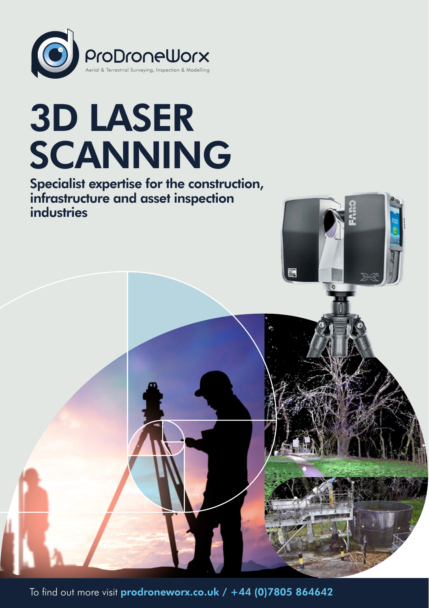

# 3D LASER SCANNING

Specialist expertise for the construction, infrastructure and asset inspection industries



To find out more visit [prodroneworx.co.uk](https://www.prodroneworx.co.uk) / +44 (0)7805 864642